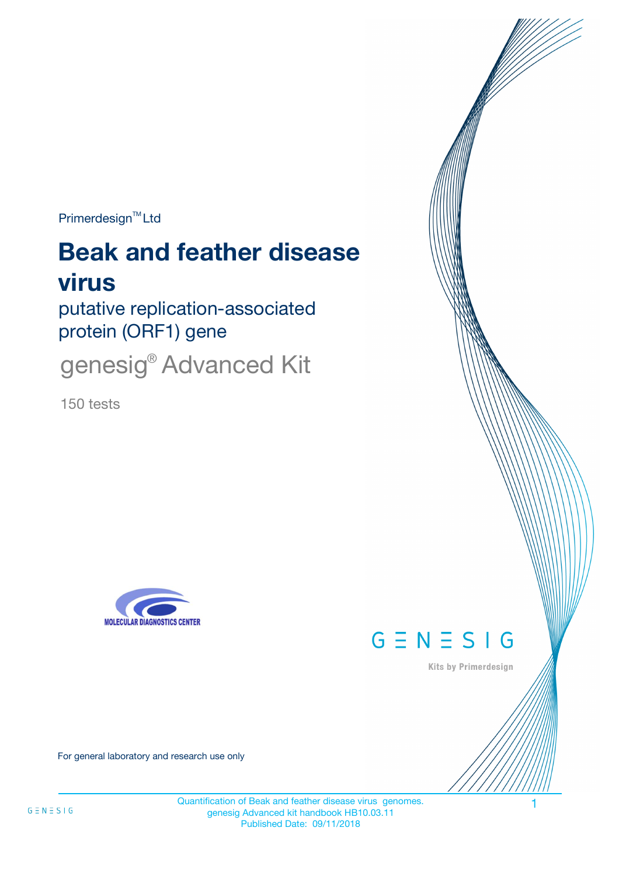Primerdesign<sup>™</sup>Ltd

# **Beak and feather disease virus**

putative replication-associated protein (ORF1) gene

genesig® Advanced Kit

150 tests





Kits by Primerdesign

For general laboratory and research use only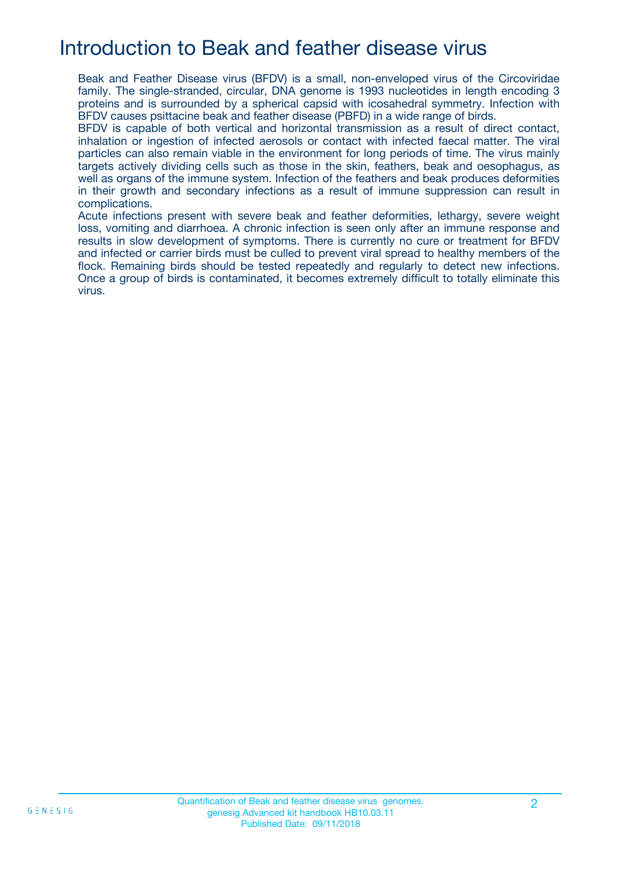## Introduction to Beak and feather disease virus

Beak and Feather Disease virus (BFDV) is a small, non-enveloped virus of the Circoviridae family. The single-stranded, circular, DNA genome is 1993 nucleotides in length encoding 3 proteins and is surrounded by a spherical capsid with icosahedral symmetry. Infection with BFDV causes psittacine beak and feather disease (PBFD) in a wide range of birds.

BFDV is capable of both vertical and horizontal transmission as a result of direct contact, inhalation or ingestion of infected aerosols or contact with infected faecal matter. The viral particles can also remain viable in the environment for long periods of time. The virus mainly targets actively dividing cells such as those in the skin, feathers, beak and oesophagus, as well as organs of the immune system. Infection of the feathers and beak produces deformities in their growth and secondary infections as a result of immune suppression can result in complications.

Acute infections present with severe beak and feather deformities, lethargy, severe weight loss, vomiting and diarrhoea. A chronic infection is seen only after an immune response and results in slow development of symptoms. There is currently no cure or treatment for BFDV and infected or carrier birds must be culled to prevent viral spread to healthy members of the flock. Remaining birds should be tested repeatedly and regularly to detect new infections. Once a group of birds is contaminated, it becomes extremely difficult to totally eliminate this virus.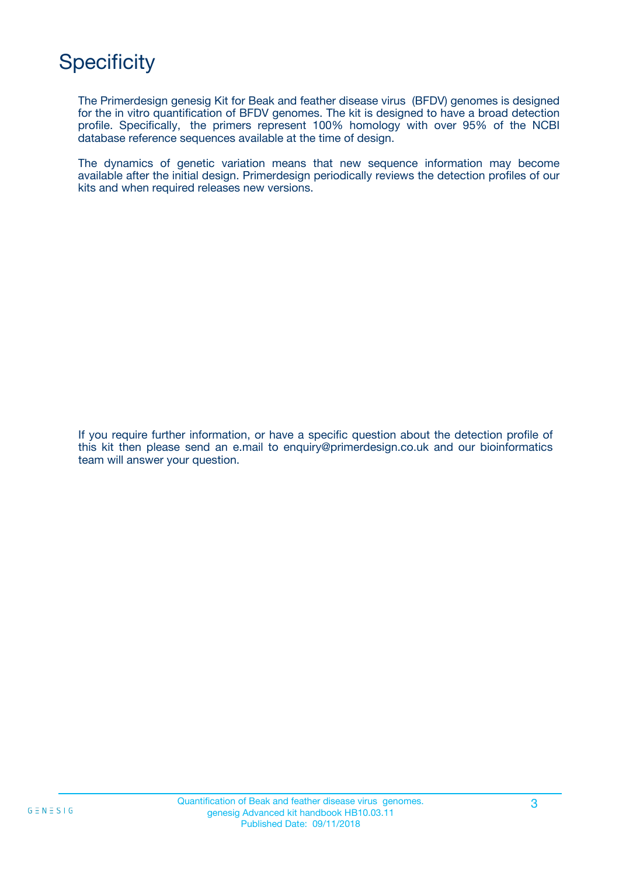## **Specificity**

The Primerdesign genesig Kit for Beak and feather disease virus (BFDV) genomes is designed for the in vitro quantification of BFDV genomes. The kit is designed to have a broad detection profile. Specifically, the primers represent 100% homology with over 95% of the NCBI database reference sequences available at the time of design.

The dynamics of genetic variation means that new sequence information may become available after the initial design. Primerdesign periodically reviews the detection profiles of our kits and when required releases new versions.

If you require further information, or have a specific question about the detection profile of this kit then please send an e.mail to enquiry@primerdesign.co.uk and our bioinformatics team will answer your question.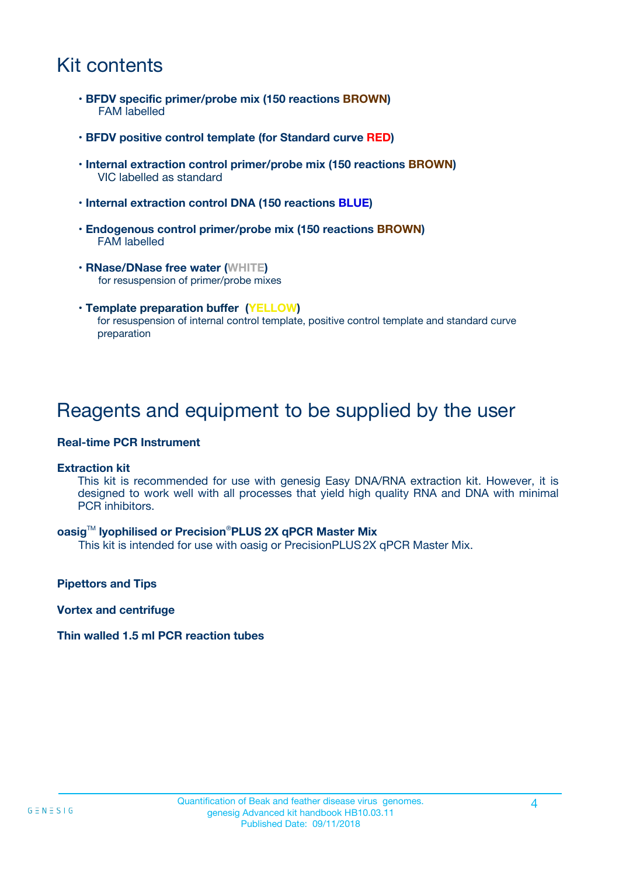## Kit contents

- **BFDV specific primer/probe mix (150 reactions BROWN)** FAM labelled
- **BFDV positive control template (for Standard curve RED)**
- **Internal extraction control primer/probe mix (150 reactions BROWN)** VIC labelled as standard
- **Internal extraction control DNA (150 reactions BLUE)**
- **Endogenous control primer/probe mix (150 reactions BROWN)** FAM labelled
- **RNase/DNase free water (WHITE)** for resuspension of primer/probe mixes
- **Template preparation buffer (YELLOW)** for resuspension of internal control template, positive control template and standard curve preparation

## Reagents and equipment to be supplied by the user

#### **Real-time PCR Instrument**

#### **Extraction kit**

This kit is recommended for use with genesig Easy DNA/RNA extraction kit. However, it is designed to work well with all processes that yield high quality RNA and DNA with minimal PCR inhibitors.

#### **oasig**TM **lyophilised or Precision**®**PLUS 2X qPCR Master Mix**

This kit is intended for use with oasig or PrecisionPLUS2X qPCR Master Mix.

**Pipettors and Tips**

**Vortex and centrifuge**

#### **Thin walled 1.5 ml PCR reaction tubes**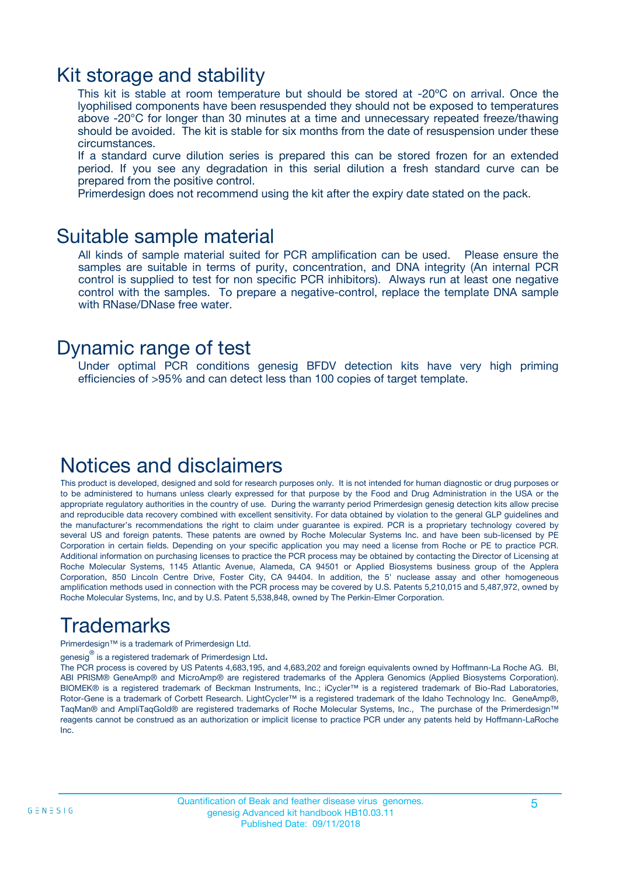### Kit storage and stability

This kit is stable at room temperature but should be stored at -20ºC on arrival. Once the lyophilised components have been resuspended they should not be exposed to temperatures above -20°C for longer than 30 minutes at a time and unnecessary repeated freeze/thawing should be avoided. The kit is stable for six months from the date of resuspension under these circumstances.

If a standard curve dilution series is prepared this can be stored frozen for an extended period. If you see any degradation in this serial dilution a fresh standard curve can be prepared from the positive control.

Primerdesign does not recommend using the kit after the expiry date stated on the pack.

### Suitable sample material

All kinds of sample material suited for PCR amplification can be used. Please ensure the samples are suitable in terms of purity, concentration, and DNA integrity (An internal PCR control is supplied to test for non specific PCR inhibitors). Always run at least one negative control with the samples. To prepare a negative-control, replace the template DNA sample with RNase/DNase free water.

### Dynamic range of test

Under optimal PCR conditions genesig BFDV detection kits have very high priming efficiencies of >95% and can detect less than 100 copies of target template.

### Notices and disclaimers

This product is developed, designed and sold for research purposes only. It is not intended for human diagnostic or drug purposes or to be administered to humans unless clearly expressed for that purpose by the Food and Drug Administration in the USA or the appropriate regulatory authorities in the country of use. During the warranty period Primerdesign genesig detection kits allow precise and reproducible data recovery combined with excellent sensitivity. For data obtained by violation to the general GLP guidelines and the manufacturer's recommendations the right to claim under guarantee is expired. PCR is a proprietary technology covered by several US and foreign patents. These patents are owned by Roche Molecular Systems Inc. and have been sub-licensed by PE Corporation in certain fields. Depending on your specific application you may need a license from Roche or PE to practice PCR. Additional information on purchasing licenses to practice the PCR process may be obtained by contacting the Director of Licensing at Roche Molecular Systems, 1145 Atlantic Avenue, Alameda, CA 94501 or Applied Biosystems business group of the Applera Corporation, 850 Lincoln Centre Drive, Foster City, CA 94404. In addition, the 5' nuclease assay and other homogeneous amplification methods used in connection with the PCR process may be covered by U.S. Patents 5,210,015 and 5,487,972, owned by Roche Molecular Systems, Inc, and by U.S. Patent 5,538,848, owned by The Perkin-Elmer Corporation.

## Trademarks

Primerdesign™ is a trademark of Primerdesign Ltd.

genesig $^\circledR$  is a registered trademark of Primerdesign Ltd.

The PCR process is covered by US Patents 4,683,195, and 4,683,202 and foreign equivalents owned by Hoffmann-La Roche AG. BI, ABI PRISM® GeneAmp® and MicroAmp® are registered trademarks of the Applera Genomics (Applied Biosystems Corporation). BIOMEK® is a registered trademark of Beckman Instruments, Inc.; iCycler™ is a registered trademark of Bio-Rad Laboratories, Rotor-Gene is a trademark of Corbett Research. LightCycler™ is a registered trademark of the Idaho Technology Inc. GeneAmp®, TaqMan® and AmpliTaqGold® are registered trademarks of Roche Molecular Systems, Inc., The purchase of the Primerdesign™ reagents cannot be construed as an authorization or implicit license to practice PCR under any patents held by Hoffmann-LaRoche Inc.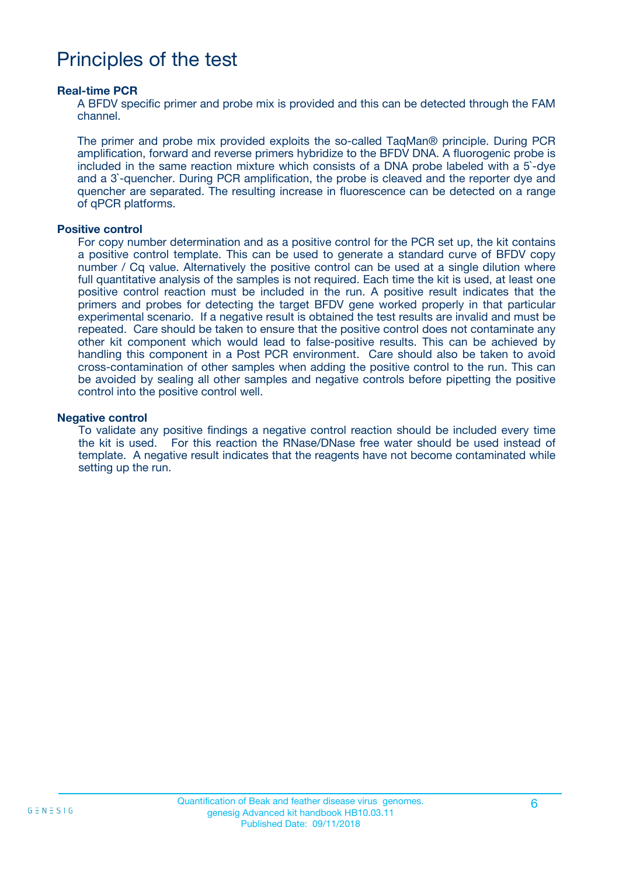## Principles of the test

#### **Real-time PCR**

A BFDV specific primer and probe mix is provided and this can be detected through the FAM channel.

The primer and probe mix provided exploits the so-called TaqMan® principle. During PCR amplification, forward and reverse primers hybridize to the BFDV DNA. A fluorogenic probe is included in the same reaction mixture which consists of a DNA probe labeled with a 5`-dye and a 3`-quencher. During PCR amplification, the probe is cleaved and the reporter dye and quencher are separated. The resulting increase in fluorescence can be detected on a range of qPCR platforms.

#### **Positive control**

For copy number determination and as a positive control for the PCR set up, the kit contains a positive control template. This can be used to generate a standard curve of BFDV copy number / Cq value. Alternatively the positive control can be used at a single dilution where full quantitative analysis of the samples is not required. Each time the kit is used, at least one positive control reaction must be included in the run. A positive result indicates that the primers and probes for detecting the target BFDV gene worked properly in that particular experimental scenario. If a negative result is obtained the test results are invalid and must be repeated. Care should be taken to ensure that the positive control does not contaminate any other kit component which would lead to false-positive results. This can be achieved by handling this component in a Post PCR environment. Care should also be taken to avoid cross-contamination of other samples when adding the positive control to the run. This can be avoided by sealing all other samples and negative controls before pipetting the positive control into the positive control well.

#### **Negative control**

To validate any positive findings a negative control reaction should be included every time the kit is used. For this reaction the RNase/DNase free water should be used instead of template. A negative result indicates that the reagents have not become contaminated while setting up the run.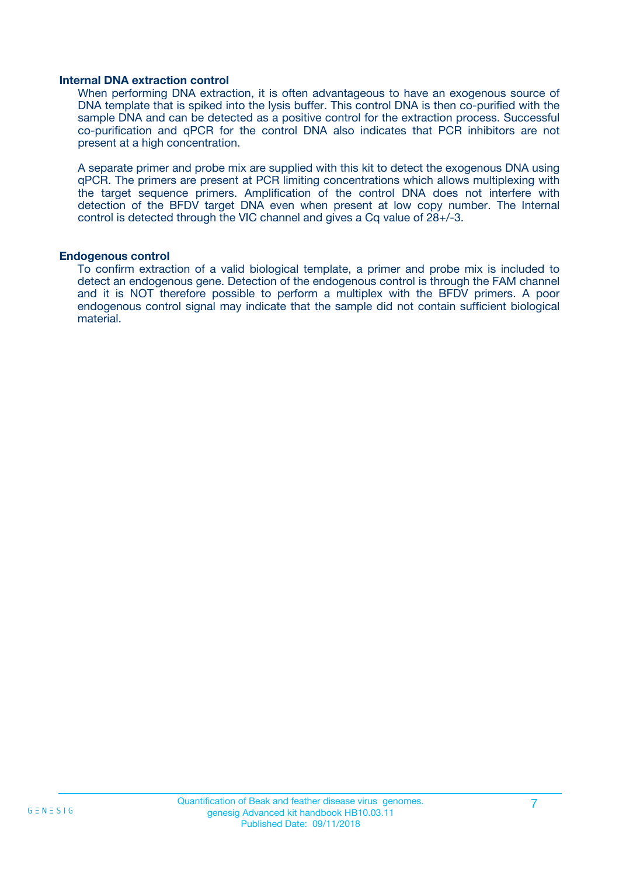#### **Internal DNA extraction control**

When performing DNA extraction, it is often advantageous to have an exogenous source of DNA template that is spiked into the lysis buffer. This control DNA is then co-purified with the sample DNA and can be detected as a positive control for the extraction process. Successful co-purification and qPCR for the control DNA also indicates that PCR inhibitors are not present at a high concentration.

A separate primer and probe mix are supplied with this kit to detect the exogenous DNA using qPCR. The primers are present at PCR limiting concentrations which allows multiplexing with the target sequence primers. Amplification of the control DNA does not interfere with detection of the BFDV target DNA even when present at low copy number. The Internal control is detected through the VIC channel and gives a Cq value of 28+/-3.

#### **Endogenous control**

To confirm extraction of a valid biological template, a primer and probe mix is included to detect an endogenous gene. Detection of the endogenous control is through the FAM channel and it is NOT therefore possible to perform a multiplex with the BFDV primers. A poor endogenous control signal may indicate that the sample did not contain sufficient biological material.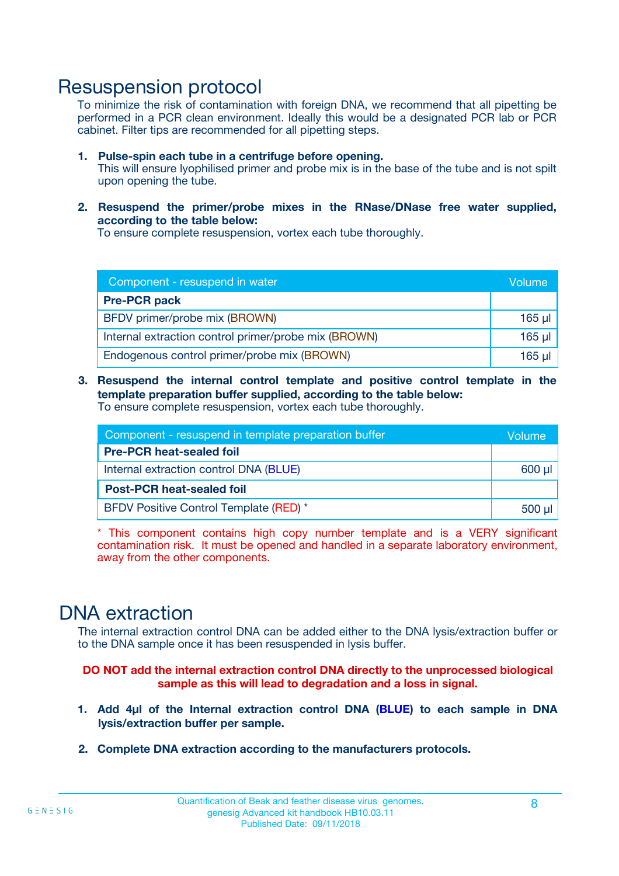### Resuspension protocol

To minimize the risk of contamination with foreign DNA, we recommend that all pipetting be performed in a PCR clean environment. Ideally this would be a designated PCR lab or PCR cabinet. Filter tips are recommended for all pipetting steps.

- **1. Pulse-spin each tube in a centrifuge before opening.** This will ensure lyophilised primer and probe mix is in the base of the tube and is not spilt upon opening the tube.
- **2. Resuspend the primer/probe mixes in the RNase/DNase free water supplied, according to the table below:**

To ensure complete resuspension, vortex each tube thoroughly.

| Component - resuspend in water                       |          |  |
|------------------------------------------------------|----------|--|
| <b>Pre-PCR pack</b>                                  |          |  |
| BFDV primer/probe mix (BROWN)                        | $165$ µl |  |
| Internal extraction control primer/probe mix (BROWN) | $165$ µl |  |
| Endogenous control primer/probe mix (BROWN)          | 165 µl   |  |

**3. Resuspend the internal control template and positive control template in the template preparation buffer supplied, according to the table below:** To ensure complete resuspension, vortex each tube thoroughly.

| Component - resuspend in template preparation buffer |          |  |  |
|------------------------------------------------------|----------|--|--|
| <b>Pre-PCR heat-sealed foil</b>                      |          |  |  |
| Internal extraction control DNA (BLUE)               |          |  |  |
| <b>Post-PCR heat-sealed foil</b>                     |          |  |  |
| BFDV Positive Control Template (RED) *               | $500$ µl |  |  |

\* This component contains high copy number template and is a VERY significant contamination risk. It must be opened and handled in a separate laboratory environment, away from the other components.

### DNA extraction

The internal extraction control DNA can be added either to the DNA lysis/extraction buffer or to the DNA sample once it has been resuspended in lysis buffer.

**DO NOT add the internal extraction control DNA directly to the unprocessed biological sample as this will lead to degradation and a loss in signal.**

- **1. Add 4µl of the Internal extraction control DNA (BLUE) to each sample in DNA lysis/extraction buffer per sample.**
- **2. Complete DNA extraction according to the manufacturers protocols.**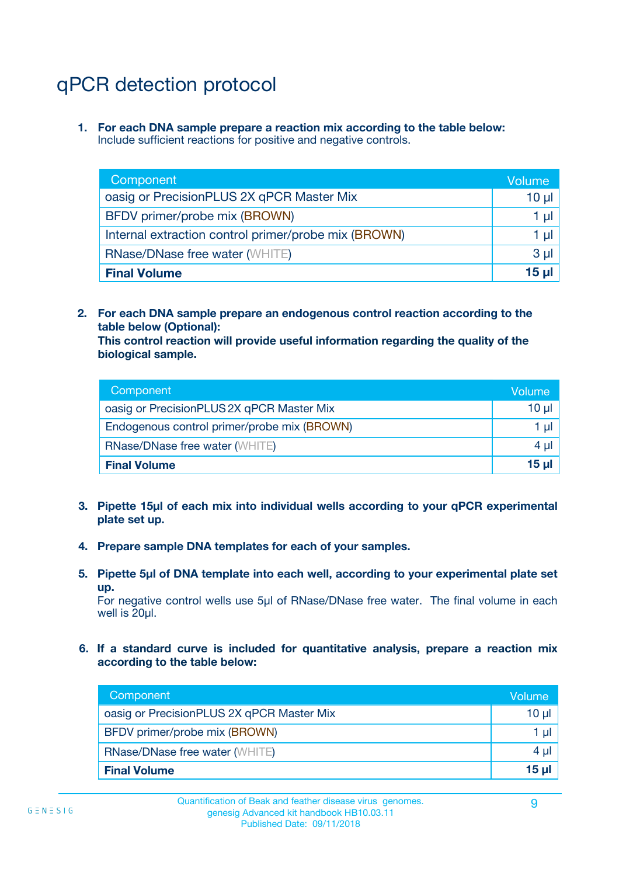## qPCR detection protocol

**1. For each DNA sample prepare a reaction mix according to the table below:** Include sufficient reactions for positive and negative controls.

| Component                                            | Volume   |
|------------------------------------------------------|----------|
| oasig or PrecisionPLUS 2X qPCR Master Mix            | $10 \mu$ |
| BFDV primer/probe mix (BROWN)                        | 1 µI     |
| Internal extraction control primer/probe mix (BROWN) | 1 µl     |
| <b>RNase/DNase free water (WHITE)</b>                | $3 \mu$  |
| <b>Final Volume</b>                                  | 15 µl    |

**2. For each DNA sample prepare an endogenous control reaction according to the table below (Optional):**

**This control reaction will provide useful information regarding the quality of the biological sample.**

| Component                                   | Volume   |
|---------------------------------------------|----------|
| oasig or PrecisionPLUS 2X qPCR Master Mix   | $10 \mu$ |
| Endogenous control primer/probe mix (BROWN) | 1 µI     |
| <b>RNase/DNase free water (WHITE)</b>       | $4 \mu$  |
| <b>Final Volume</b>                         | 15 µl    |

- **3. Pipette 15µl of each mix into individual wells according to your qPCR experimental plate set up.**
- **4. Prepare sample DNA templates for each of your samples.**
- **5. Pipette 5µl of DNA template into each well, according to your experimental plate set up.**

For negative control wells use 5µl of RNase/DNase free water. The final volume in each well is 20ul.

**6. If a standard curve is included for quantitative analysis, prepare a reaction mix according to the table below:**

| Component                                 | Volume          |
|-------------------------------------------|-----------------|
| oasig or PrecisionPLUS 2X qPCR Master Mix | 10 µl           |
| BFDV primer/probe mix (BROWN)             |                 |
| <b>RNase/DNase free water (WHITE)</b>     | $4 \mu$         |
| <b>Final Volume</b>                       | 15 <sub>µ</sub> |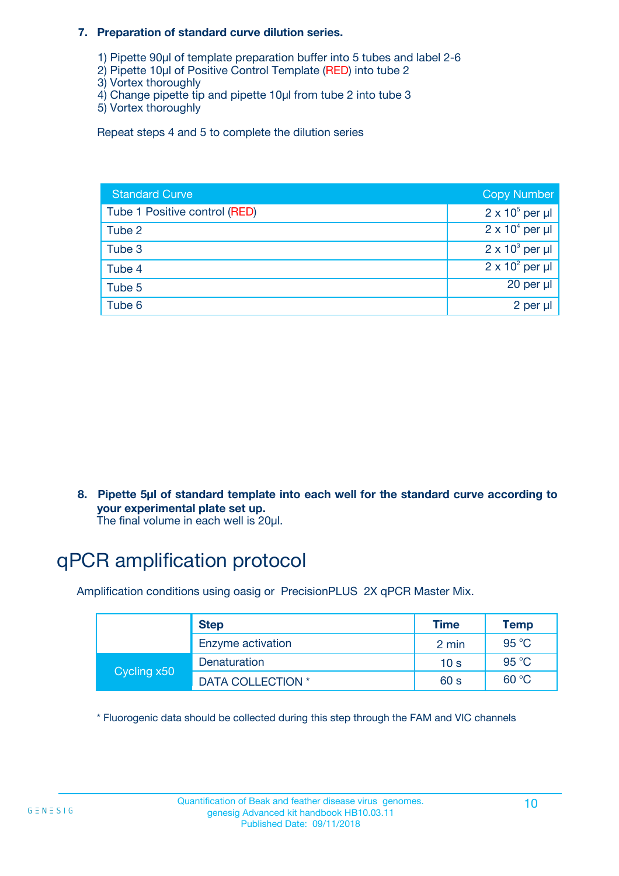#### **7. Preparation of standard curve dilution series.**

- 1) Pipette 90µl of template preparation buffer into 5 tubes and label 2-6
- 2) Pipette 10µl of Positive Control Template (RED) into tube 2
- 3) Vortex thoroughly
- 4) Change pipette tip and pipette 10µl from tube 2 into tube 3
- 5) Vortex thoroughly

Repeat steps 4 and 5 to complete the dilution series

| <b>Standard Curve</b>         | <b>Copy Number</b>     |
|-------------------------------|------------------------|
| Tube 1 Positive control (RED) | $2 \times 10^5$ per µl |
| Tube 2                        | $2 \times 10^4$ per µl |
| Tube 3                        | $2 \times 10^3$ per µl |
| Tube 4                        | $2 \times 10^2$ per µl |
| Tube 5                        | 20 per µl              |
| Tube 6                        | 2 per µl               |

**8. Pipette 5µl of standard template into each well for the standard curve according to your experimental plate set up.**

#### The final volume in each well is 20µl.

## qPCR amplification protocol

Amplification conditions using oasig or PrecisionPLUS 2X qPCR Master Mix.

|             | <b>Step</b>       | <b>Time</b>     | Temp    |
|-------------|-------------------|-----------------|---------|
|             | Enzyme activation | 2 min           | 95 °C   |
| Cycling x50 | Denaturation      | 10 <sub>s</sub> | 95 $°C$ |
|             | DATA COLLECTION * | 60 s            | 60 °C   |

\* Fluorogenic data should be collected during this step through the FAM and VIC channels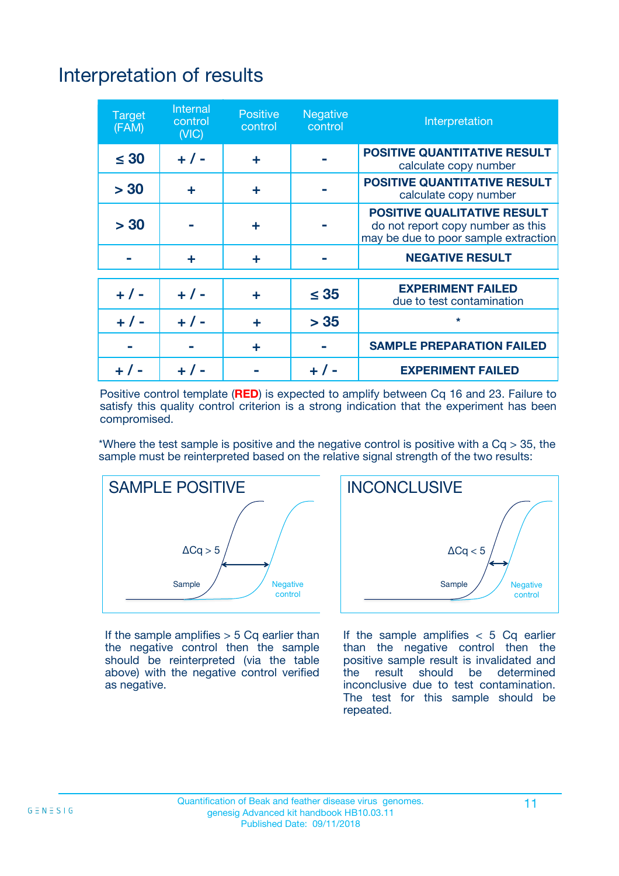## Interpretation of results

| <b>Target</b><br>(FAM) | <b>Internal</b><br>control<br>(NIC) | <b>Positive</b><br>control | <b>Negative</b><br>control | Interpretation                                                                                                  |
|------------------------|-------------------------------------|----------------------------|----------------------------|-----------------------------------------------------------------------------------------------------------------|
| $\leq 30$              | $+ 1 -$                             | ÷                          |                            | <b>POSITIVE QUANTITATIVE RESULT</b><br>calculate copy number                                                    |
| > 30                   | ٠                                   | ÷                          |                            | <b>POSITIVE QUANTITATIVE RESULT</b><br>calculate copy number                                                    |
| > 30                   |                                     | ÷                          |                            | <b>POSITIVE QUALITATIVE RESULT</b><br>do not report copy number as this<br>may be due to poor sample extraction |
|                        | ٠                                   | ÷                          |                            | <b>NEGATIVE RESULT</b>                                                                                          |
| $+ 1 -$                | $+ 1 -$                             | ÷                          | $\leq 35$                  | <b>EXPERIMENT FAILED</b><br>due to test contamination                                                           |
| $+ 1 -$                | $+ 1 -$                             | ÷                          | > 35                       | $\star$                                                                                                         |
|                        |                                     | ÷                          |                            | <b>SAMPLE PREPARATION FAILED</b>                                                                                |
|                        |                                     |                            | $+$ /                      | <b>EXPERIMENT FAILED</b>                                                                                        |

Positive control template (**RED**) is expected to amplify between Cq 16 and 23. Failure to satisfy this quality control criterion is a strong indication that the experiment has been compromised.

\*Where the test sample is positive and the negative control is positive with a  $Ca > 35$ , the sample must be reinterpreted based on the relative signal strength of the two results:



If the sample amplifies  $> 5$  Cq earlier than the negative control then the sample should be reinterpreted (via the table above) with the negative control verified as negative.



If the sample amplifies  $< 5$  Cq earlier than the negative control then the positive sample result is invalidated and<br>the result should be determined  $the$  result should be inconclusive due to test contamination. The test for this sample should be repeated.